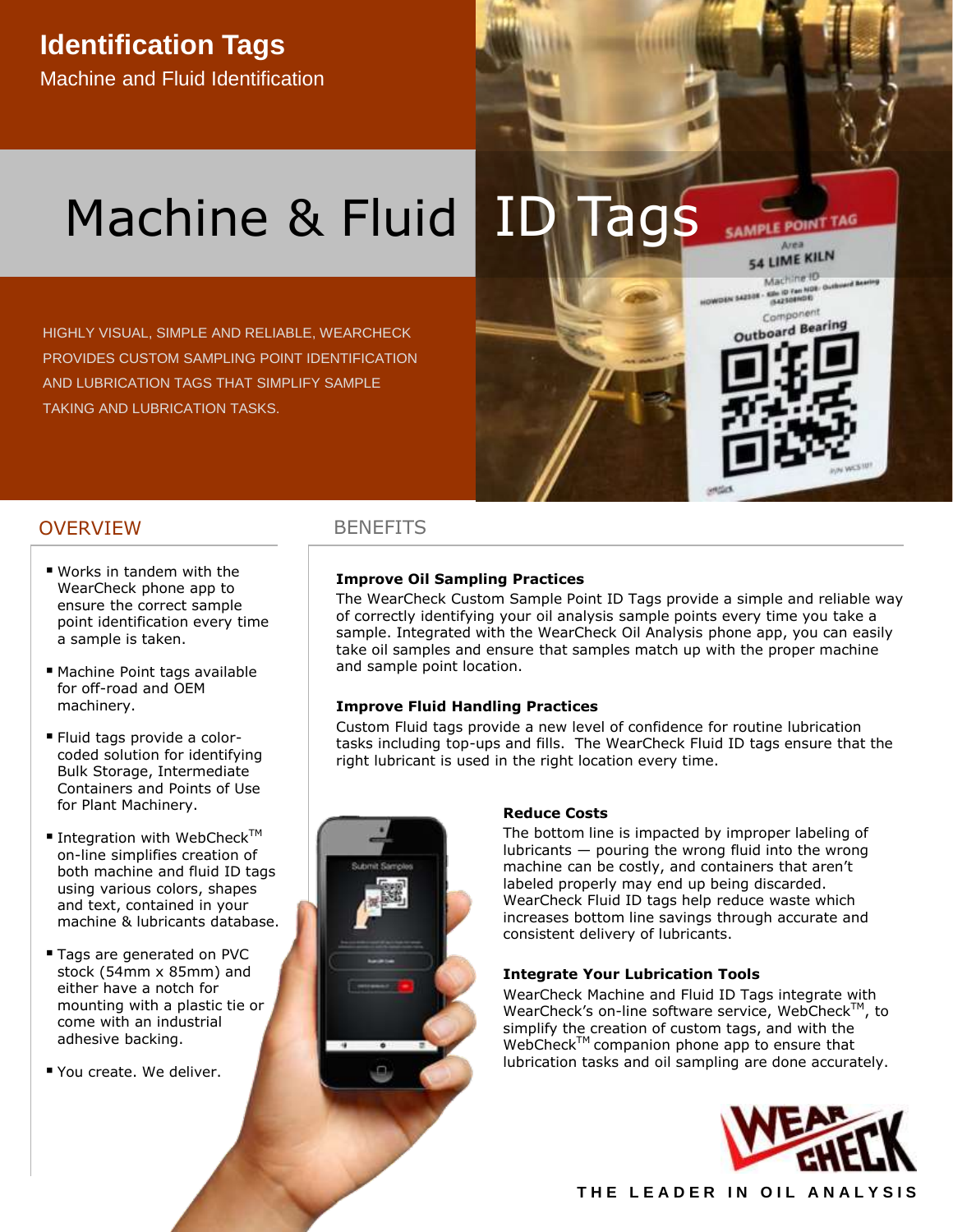## **Identification Tags**

Machine and Fluid Identification

# Machine & Fluid ID

HIGHLY VISUAL, SIMPLE AND RELIABLE, WEARCHECK PROVIDES CUSTOM SAMPLING POINT IDENTIFICATION AND LUBRICATION TAGS THAT SIMPLIFY SAMPLE TAKING AND LUBRICATION TASKS.

# **AMPLE POINT TAG**

54 LIME KILN Machine ID Kills ID Fan NOR- Outlin Component Outboard Bearing

Area

#### OVERVIEW BENEFITS

- Works in tandem with the WearCheck phone app to ensure the correct sample point identification every time a sample is taken.
- Machine Point tags available for off-road and OEM machinery.
- Fluid tags provide a colorcoded solution for identifying Bulk Storage, Intermediate Containers and Points of Use for Plant Machinery.
- Integration with WebCheck<sup>TM</sup> on-line simplifies creation of both machine and fluid ID tags using various colors, shapes and text, contained in your machine & lubricants database.
- Tags are generated on PVC stock (54mm x 85mm) and either have a notch for mounting with a plastic tie or come with an industrial adhesive backing.
- You create. We deliver.

#### **Improve Oil Sampling Practices**

The WearCheck Custom Sample Point ID Tags provide a simple and reliable way of correctly identifying your oil analysis sample points every time you take a sample. Integrated with the WearCheck Oil Analysis phone app, you can easily take oil samples and ensure that samples match up with the proper machine and sample point location.

#### **Improve Fluid Handling Practices**

Custom Fluid tags provide a new level of confidence for routine lubrication tasks including top-ups and fills. The WearCheck Fluid ID tags ensure that the right lubricant is used in the right location every time.



#### **Reduce Costs**

The bottom line is impacted by improper labeling of lubricants — pouring the wrong fluid into the wrong machine can be costly, and containers that aren't labeled properly may end up being discarded. WearCheck Fluid ID tags help reduce waste which increases bottom line savings through accurate and consistent delivery of lubricants.

#### **Integrate Your Lubrication Tools**

WearCheck Machine and Fluid ID Tags integrate with WearCheck's on-line software service, WebCheck<sup>TM</sup>, to simplify the creation of custom tags, and with the WebCheck<sup>™</sup> companion phone app to ensure that lubrication tasks and oil sampling are done accurately.



#### THE LEADER IN OIL ANALYSIS